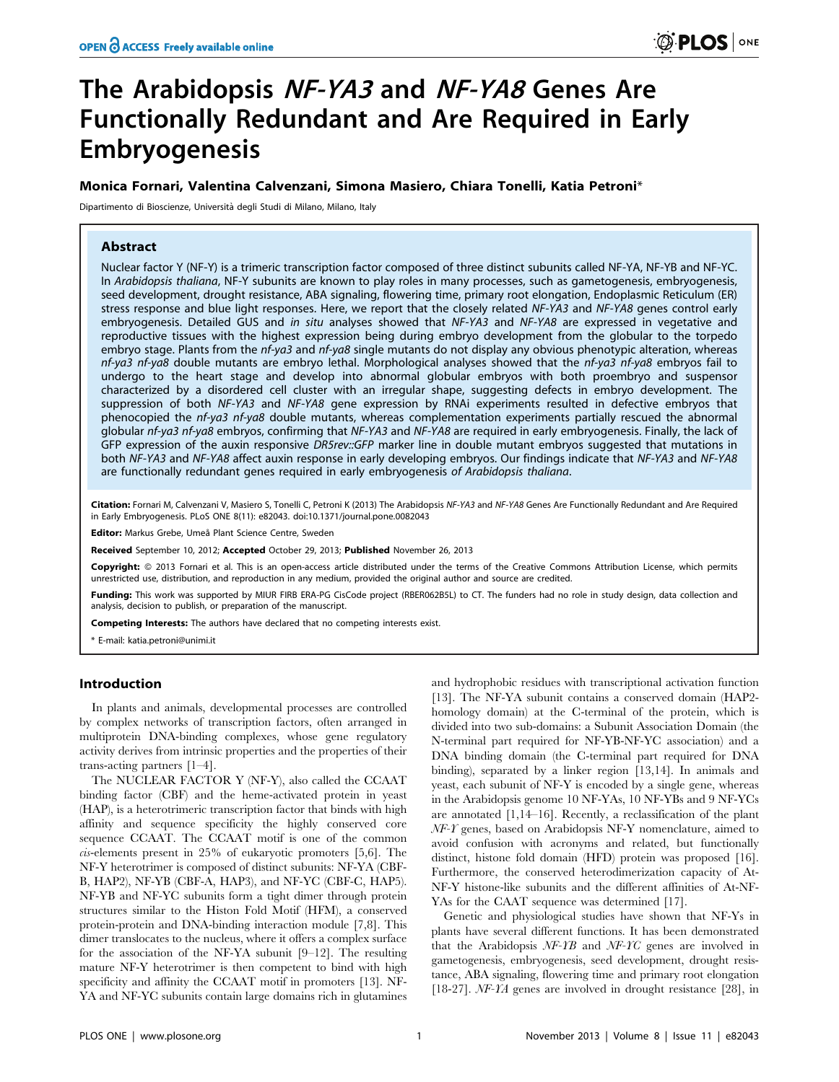# The Arabidopsis NF-YA3 and NF-YA8 Genes Are Functionally Redundant and Are Required in Early Embryogenesis

## Monica Fornari, Valentina Calvenzani, Simona Masiero, Chiara Tonelli, Katia Petroni\*

Dipartimento di Bioscienze, Universita` degli Studi di Milano, Milano, Italy

## Abstract

Nuclear factor Y (NF-Y) is a trimeric transcription factor composed of three distinct subunits called NF-YA, NF-YB and NF-YC. In Arabidopsis thaliana, NF-Y subunits are known to play roles in many processes, such as gametogenesis, embryogenesis, seed development, drought resistance, ABA signaling, flowering time, primary root elongation, Endoplasmic Reticulum (ER) stress response and blue light responses. Here, we report that the closely related NF-YA3 and NF-YA8 genes control early embryogenesis. Detailed GUS and in situ analyses showed that NF-YA3 and NF-YA8 are expressed in vegetative and reproductive tissues with the highest expression being during embryo development from the globular to the torpedo embryo stage. Plants from the nf-ya3 and nf-ya8 single mutants do not display any obvious phenotypic alteration, whereas nf-ya3 nf-ya8 double mutants are embryo lethal. Morphological analyses showed that the nf-ya3 nf-ya8 embryos fail to undergo to the heart stage and develop into abnormal globular embryos with both proembryo and suspensor characterized by a disordered cell cluster with an irregular shape, suggesting defects in embryo development. The suppression of both NF-YA3 and NF-YA8 gene expression by RNAi experiments resulted in defective embryos that phenocopied the nf-ya3 nf-ya8 double mutants, whereas complementation experiments partially rescued the abnormal globular nf-ya3 nf-ya8 embryos, confirming that NF-YA3 and NF-YA8 are required in early embryogenesis. Finally, the lack of GFP expression of the auxin responsive DR5rev::GFP marker line in double mutant embryos suggested that mutations in both NF-YA3 and NF-YA8 affect auxin response in early developing embryos. Our findings indicate that NF-YA3 and NF-YA8 are functionally redundant genes required in early embryogenesis of Arabidopsis thaliana.

Citation: Fornari M, Calvenzani V, Masiero S, Tonelli C, Petroni K (2013) The Arabidopsis NF-YA3 and NF-YA8 Genes Are Functionally Redundant and Are Required in Early Embryogenesis. PLoS ONE 8(11): e82043. doi:10.1371/journal.pone.0082043

Editor: Markus Grebe, Umeå Plant Science Centre, Sweden

Received September 10, 2012; Accepted October 29, 2013; Published November 26, 2013

Copyright: © 2013 Fornari et al. This is an open-access article distributed under the terms of the Creative Commons Attribution License, which permits unrestricted use, distribution, and reproduction in any medium, provided the original author and source are credited.

Funding: This work was supported by MIUR FIRB ERA-PG CisCode project (RBER062B5L) to CT. The funders had no role in study design, data collection and analysis, decision to publish, or preparation of the manuscript.

Competing Interests: The authors have declared that no competing interests exist.

\* E-mail: katia.petroni@unimi.it

## Introduction

In plants and animals, developmental processes are controlled by complex networks of transcription factors, often arranged in multiprotein DNA-binding complexes, whose gene regulatory activity derives from intrinsic properties and the properties of their trans-acting partners [1–4].

The NUCLEAR FACTOR Y (NF-Y), also called the CCAAT binding factor (CBF) and the heme-activated protein in yeast (HAP), is a heterotrimeric transcription factor that binds with high affinity and sequence specificity the highly conserved core sequence CCAAT. The CCAAT motif is one of the common cis-elements present in 25% of eukaryotic promoters [5,6]. The NF-Y heterotrimer is composed of distinct subunits: NF-YA (CBF-B, HAP2), NF-YB (CBF-A, HAP3), and NF-YC (CBF-C, HAP5). NF-YB and NF-YC subunits form a tight dimer through protein structures similar to the Histon Fold Motif (HFM), a conserved protein-protein and DNA-binding interaction module [7,8]. This dimer translocates to the nucleus, where it offers a complex surface for the association of the NF-YA subunit [9–12]. The resulting mature NF-Y heterotrimer is then competent to bind with high specificity and affinity the CCAAT motif in promoters [13]. NF-YA and NF-YC subunits contain large domains rich in glutamines and hydrophobic residues with transcriptional activation function [13]. The NF-YA subunit contains a conserved domain (HAP2 homology domain) at the C-terminal of the protein, which is divided into two sub-domains: a Subunit Association Domain (the N-terminal part required for NF-YB-NF-YC association) and a DNA binding domain (the C-terminal part required for DNA binding), separated by a linker region [13,14]. In animals and yeast, each subunit of NF-Y is encoded by a single gene, whereas in the Arabidopsis genome 10 NF-YAs, 10 NF-YBs and 9 NF-YCs are annotated [1,14–16]. Recently, a reclassification of the plant NF-Y genes, based on Arabidopsis NF-Y nomenclature, aimed to avoid confusion with acronyms and related, but functionally distinct, histone fold domain (HFD) protein was proposed [16]. Furthermore, the conserved heterodimerization capacity of At-NF-Y histone-like subunits and the different affinities of At-NF-YAs for the CAAT sequence was determined [17].

Genetic and physiological studies have shown that NF-Ys in plants have several different functions. It has been demonstrated that the Arabidopsis NF-YB and NF-YC genes are involved in gametogenesis, embryogenesis, seed development, drought resistance, ABA signaling, flowering time and primary root elongation [18-27]. NF-YA genes are involved in drought resistance [28], in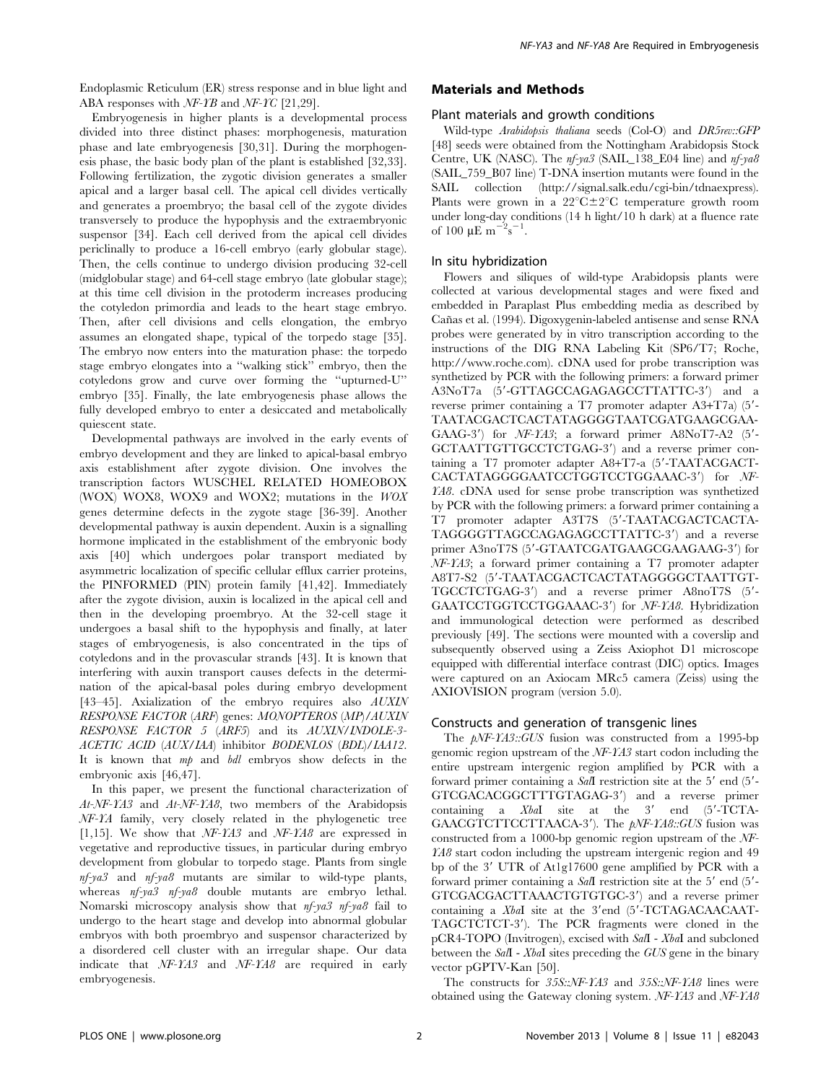Endoplasmic Reticulum (ER) stress response and in blue light and ABA responses with NF-YB and NF-YC [21,29].

Embryogenesis in higher plants is a developmental process divided into three distinct phases: morphogenesis, maturation phase and late embryogenesis [30,31]. During the morphogenesis phase, the basic body plan of the plant is established [32,33]. Following fertilization, the zygotic division generates a smaller apical and a larger basal cell. The apical cell divides vertically and generates a proembryo; the basal cell of the zygote divides transversely to produce the hypophysis and the extraembryonic suspensor [34]. Each cell derived from the apical cell divides periclinally to produce a 16-cell embryo (early globular stage). Then, the cells continue to undergo division producing 32-cell (midglobular stage) and 64-cell stage embryo (late globular stage); at this time cell division in the protoderm increases producing the cotyledon primordia and leads to the heart stage embryo. Then, after cell divisions and cells elongation, the embryo assumes an elongated shape, typical of the torpedo stage [35]. The embryo now enters into the maturation phase: the torpedo stage embryo elongates into a ''walking stick'' embryo, then the cotyledons grow and curve over forming the ''upturned-U'' embryo [35]. Finally, the late embryogenesis phase allows the fully developed embryo to enter a desiccated and metabolically quiescent state.

Developmental pathways are involved in the early events of embryo development and they are linked to apical-basal embryo axis establishment after zygote division. One involves the transcription factors WUSCHEL RELATED HOMEOBOX (WOX) WOX8, WOX9 and WOX2; mutations in the WOX genes determine defects in the zygote stage [36-39]. Another developmental pathway is auxin dependent. Auxin is a signalling hormone implicated in the establishment of the embryonic body axis [40] which undergoes polar transport mediated by asymmetric localization of specific cellular efflux carrier proteins, the PINFORMED (PIN) protein family [41,42]. Immediately after the zygote division, auxin is localized in the apical cell and then in the developing proembryo. At the 32-cell stage it undergoes a basal shift to the hypophysis and finally, at later stages of embryogenesis, is also concentrated in the tips of cotyledons and in the provascular strands [43]. It is known that interfering with auxin transport causes defects in the determination of the apical-basal poles during embryo development [43-45]. Axialization of the embryo requires also AUXIN RESPONSE FACTOR (ARF) genes: MONOPTEROS (MP)/AUXIN RESPONSE FACTOR 5 (ARF5) and its AUXIN/INDOLE-3- ACETIC ACID (AUX/IAA) inhibitor BODENLOS (BDL)/IAA12. It is known that mp and bdl embryos show defects in the embryonic axis [46,47].

In this paper, we present the functional characterization of At-NF-YA3 and At-NF-YA8, two members of the Arabidopsis NF-YA family, very closely related in the phylogenetic tree [1,15]. We show that NF-YA3 and NF-YA8 are expressed in vegetative and reproductive tissues, in particular during embryo development from globular to torpedo stage. Plants from single  $nf$ -ya3 and  $nf$ -ya8 mutants are similar to wild-type plants, whereas nf-ya3 nf-ya8 double mutants are embryo lethal. Nomarski microscopy analysis show that nf-ya3 nf-ya8 fail to undergo to the heart stage and develop into abnormal globular embryos with both proembryo and suspensor characterized by a disordered cell cluster with an irregular shape. Our data indicate that NF-YA3 and NF-YA8 are required in early embryogenesis.

## Materials and Methods

#### Plant materials and growth conditions

Wild-type Arabidopsis thaliana seeds (Col-O) and DR5rev::GFP [48] seeds were obtained from the Nottingham Arabidopsis Stock Centre, UK (NASC). The nf-ya3 (SAIL\_138\_E04 line) and nf-ya8 (SAIL\_759\_B07 line) T-DNA insertion mutants were found in the SAIL collection (http://signal.salk.edu/cgi-bin/tdnaexpress). Plants were grown in a  $22^{\circ}C \pm 2^{\circ}C$  temperature growth room under long-day conditions (14 h light/10 h dark) at a fluence rate of 100  $\mu$ E m<sup>-2</sup>s<sup>-1</sup> .

## In situ hybridization

Flowers and siliques of wild-type Arabidopsis plants were collected at various developmental stages and were fixed and embedded in Paraplast Plus embedding media as described by Can˜as et al. (1994). Digoxygenin-labeled antisense and sense RNA probes were generated by in vitro transcription according to the instructions of the DIG RNA Labeling Kit (SP6/T7; Roche, http://www.roche.com). cDNA used for probe transcription was synthetized by PCR with the following primers: a forward primer A3NoT7a (5'-GTTAGCCAGAGAGCCTTATTC-3') and a reverse primer containing a  $T7$  promoter adapter A3+T7a)  $(5'-$ TAATACGACTCACTATAGGGGTAATCGATGAAGCGAA-GAAG-3') for  $NF-YA3$ ; a forward primer A8NoT7-A2 (5'-GCTAATTGTTGCCTCTGAG-3') and a reverse primer containing a T7 promoter adapter A8+T7-a (5'-TAATACGACT- $CACTATAGGGGAATCCTGGTCCTGGAAAC-3'$  for  $NF-$ YA8. cDNA used for sense probe transcription was synthetized by PCR with the following primers: a forward primer containing a T7 promoter adapter A3T7S (5'-TAATACGACTCACTA-TAGGGGTTAGCCAGAGAGCCTTATTC-3') and a reverse primer A3noT7S (5'-GTAATCGATGAAGCGAAGAAG-3') for NF-YA3; a forward primer containing a T7 promoter adapter A8T7-S2 (5'-TAATACGACTCACTATAGGGGCTAATTGT-TGCCTCTGAG-3') and a reverse primer A8noT7S (5'-GAATCCTGGTCCTGGAAAC-3') for NF-YA8. Hybridization and immunological detection were performed as described previously [49]. The sections were mounted with a coverslip and subsequently observed using a Zeiss Axiophot D1 microscope equipped with differential interface contrast (DIC) optics. Images were captured on an Axiocam MRc5 camera (Zeiss) using the AXIOVISION program (version 5.0).

## Constructs and generation of transgenic lines

The  $pNF-YAS::GUS$  fusion was constructed from a 1995-bp genomic region upstream of the NF-YA3 start codon including the entire upstream intergenic region amplified by PCR with a forward primer containing a  $SaI$  restriction site at the 5' end (5'-GTCGACACGGCTTTGTAGAG-3') and a reverse primer containing a  $XbaI$  site at the 3' end  $(5'-TCTA-$ GAACGTCTTCCTTAACA-3'). The  $pNF-YAG::GUS$  fusion was constructed from a 1000-bp genomic region upstream of the NF-YA8 start codon including the upstream intergenic region and 49 bp of the 3' UTR of At1g17600 gene amplified by PCR with a forward primer containing a  $\textit{Sal}$  restriction site at the 5' end (5'-GTCGACGACTTAAACTGTGTGC-3') and a reverse primer containing a  $XbaI$  site at the 3'end (5'-TCTAGACAACAAT-TAGCTCTCT-3'). The PCR fragments were cloned in the pCR4-TOPO (Invitrogen), excised with SalI - XbaI and subcloned between the SalI - XbaI sites preceding the GUS gene in the binary vector pGPTV-Kan [50].

The constructs for 35S::NF-YA3 and 35S::NF-YA8 lines were obtained using the Gateway cloning system. NF-YA3 and NF-YA8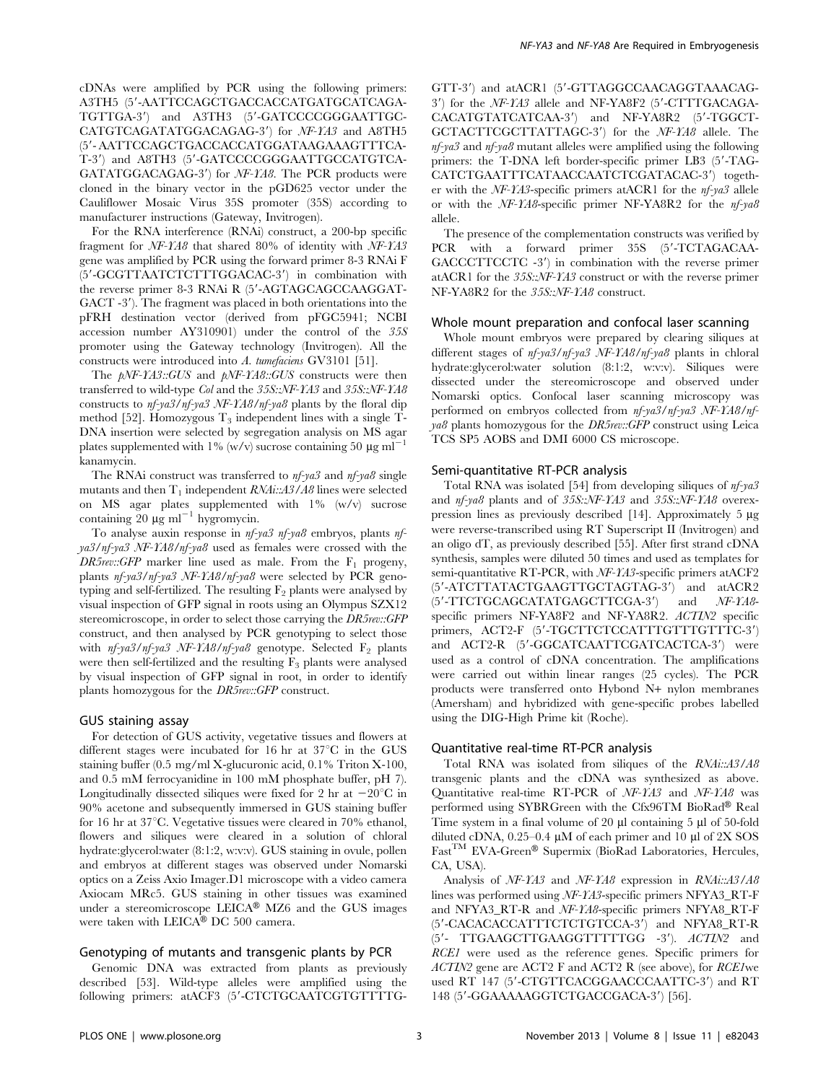cDNAs were amplified by PCR using the following primers: A3TH5 (5'-AATTCCAGCTGACCACCATGATGCATCAGA-TGTTGA-3') and A3TH3 (5'-GATCCCCGGGAATTGC-CATGTCAGATATGGACAGAG-3') for NF-YA3 and A8TH5 (5'- AATTCCAGCTGACCACCATGGATAAGAAAGTTTCA-T-3') and A8TH3 (5'-GATCCCCGGGAATTGCCATGTCA-GATATGGACAGAG-3') for  $NF-YAB$ . The PCR products were cloned in the binary vector in the pGD625 vector under the Cauliflower Mosaic Virus 35S promoter (35S) according to manufacturer instructions (Gateway, Invitrogen).

For the RNA interference (RNAi) construct, a 200-bp specific fragment for NF-YA8 that shared 80% of identity with NF-YA3 gene was amplified by PCR using the forward primer 8-3 RNAi F (5'-GCGTTAATCTCTTTGGACAC-3') in combination with the reverse primer 8-3 RNAi R (5'-AGTAGCAGCCAAGGAT-GACT  $-3'$ ). The fragment was placed in both orientations into the pFRH destination vector (derived from pFGC5941; NCBI accession number AY310901) under the control of the 35S promoter using the Gateway technology (Invitrogen). All the constructs were introduced into A. tumefaciens GV3101 [51].

The  $pNF-YAS::GUS$  and  $pNF-YAS::GUS$  constructs were then transferred to wild-type Col and the 35S::NF-YA3 and 35S::NF-YA8 constructs to nf-ya3/nf-ya3 NF-YA8/nf-ya8 plants by the floral dip method [52]. Homozygous  $T_3$  independent lines with a single T-DNA insertion were selected by segregation analysis on MS agar plates supplemented with 1% (w/v) sucrose containing 50  $\mu$ g ml<sup>-1</sup> kanamycin.

The RNAi construct was transferred to  $nf$ -ya3 and  $nf$ -ya8 single mutants and then  $T_1$  independent  $\mathit{RNAi::}\mathit{A3/A8}$  lines were selected on MS agar plates supplemented with  $1\%$  (w/v) sucrose containing 20  $\mu$ g ml<sup>-1</sup> hygromycin.

To analyse auxin response in nf-ya3 nf-ya8 embryos, plants nfya3/nf-ya3 NF-YA8/nf-ya8 used as females were crossed with the DR5rev::GFP marker line used as male. From the  $F_1$  progeny, plants nf-ya3/nf-ya3 NF-YA8/nf-ya8 were selected by PCR genotyping and self-fertilized. The resulting  $F_2$  plants were analysed by visual inspection of GFP signal in roots using an Olympus SZX12 stereomicroscope, in order to select those carrying the DR5rev::GFP construct, and then analysed by PCR genotyping to select those with  $nf$ -ya3/nf-ya3 NF-YA8/nf-ya8 genotype. Selected F<sub>2</sub> plants were then self-fertilized and the resulting  $F_3$  plants were analysed by visual inspection of GFP signal in root, in order to identify plants homozygous for the DR5rev::GFP construct.

#### GUS staining assay

For detection of GUS activity, vegetative tissues and flowers at different stages were incubated for 16 hr at  $37^{\circ}\text{C}$  in the GUS staining buffer (0.5 mg/ml X-glucuronic acid, 0.1% Triton X-100, and 0.5 mM ferrocyanidine in 100 mM phosphate buffer, pH 7). Longitudinally dissected siliques were fixed for 2 hr at  $-20^{\circ}$ C in 90% acetone and subsequently immersed in GUS staining buffer for 16 hr at  $37^{\circ}$ C. Vegetative tissues were cleared in 70% ethanol, flowers and siliques were cleared in a solution of chloral hydrate:glycerol:water (8:1:2, w:v:v). GUS staining in ovule, pollen and embryos at different stages was observed under Nomarski optics on a Zeiss Axio Imager.D1 microscope with a video camera Axiocam MRc5. GUS staining in other tissues was examined under a stereomicroscope  $LEICA^{\circledR}$  MZ6 and the GUS images were taken with  $LEICA^{\circledR}$  DC 500 camera.

#### Genotyping of mutants and transgenic plants by PCR

Genomic DNA was extracted from plants as previously described [53]. Wild-type alleles were amplified using the following primers: atACF3 (5'-CTCTGCAATCGTGTTTTG- GTT-3') and atACR1 (5'-GTTAGGCCAACAGGTAAACAG- $3'$ ) for the NF-YA3 allele and NF-YA8F2 (5'-CTTTGACAGA-CACATGTATCATCAA-3') and NF-YA8R2 (5'-TGGCT-GCTACTTCGCTTATTAGC-3') for the NF-YA8 allele. The nf-ya3 and nf-ya8 mutant alleles were amplified using the following primers: the T-DNA left border-specific primer LB3 (5'-TAG-CATCTGAATTTCATAACCAATCTCGATACAC-3') together with the NF-YA3-specific primers atACR1 for the nf-ya3 allele or with the NF-YA8-specific primer NF-YA8R2 for the nf-ya8 allele.

The presence of the complementation constructs was verified by PCR with a forward primer 35S (5'-TCTAGACAA-GACCCTTCCTC -3') in combination with the reverse primer atACR1 for the 35S::NF-YA3 construct or with the reverse primer NF-YA8R2 for the 35S::NF-YA8 construct.

#### Whole mount preparation and confocal laser scanning

Whole mount embryos were prepared by clearing siliques at different stages of  $n f$ -ya3/nf-ya3 NF-YA8/nf-ya8 plants in chloral hydrate:glycerol:water solution (8:1:2, w:v:v). Siliques were dissected under the stereomicroscope and observed under Nomarski optics. Confocal laser scanning microscopy was performed on embryos collected from nf-ya3/nf-ya3 NF-YA8/nf $ya8$  plants homozygous for the DR5rev::GFP construct using Leica TCS SP5 AOBS and DMI 6000 CS microscope.

#### Semi-quantitative RT-PCR analysis

Total RNA was isolated [54] from developing siliques of nf-ya3 and nf-ya8 plants and of 35S::NF-YA3 and 35S::NF-YA8 overexpression lines as previously described [14]. Approximately  $5 \mu$ g were reverse-transcribed using RT Superscript II (Invitrogen) and an oligo dT, as previously described [55]. After first strand cDNA synthesis, samples were diluted 50 times and used as templates for semi-quantitative RT-PCR, with NF-YA3-specific primers atACF2 (5'-ATCTTATACTGAAGTTGCTAGTAG-3') and atACR2 (5'-TTCTGCAGCATATGAGCTTCGA-3') and NF-YA8specific primers NF-YA8F2 and NF-YA8R2. ACTIN2 specific primers, ACT2-F (5'-TGCTTCTCCATTTGTTTGTTTC-3') and ACT2-R (5'-GGCATCAATTCGATCACTCA-3') were used as a control of cDNA concentration. The amplifications were carried out within linear ranges (25 cycles). The PCR products were transferred onto Hybond N+ nylon membranes (Amersham) and hybridized with gene-specific probes labelled using the DIG-High Prime kit (Roche).

#### Quantitative real-time RT-PCR analysis

Total RNA was isolated from siliques of the RNAi::A3/A8 transgenic plants and the cDNA was synthesized as above. Quantitative real-time RT-PCR of NF-YA3 and NF-YA8 was performed using SYBRGreen with the Cfx96TM BioRad® Real Time system in a final volume of 20  $\mu$ l containing 5  $\mu$ l of 50-fold diluted cDNA,  $0.25-0.4 \mu M$  of each primer and 10  $\mu$ l of 2X SOS  $\mathrm{Fast}^\mathrm{TM}$  EVA-Green® Supermix (BioRad Laboratories, Hercules, CA, USA).

Analysis of NF-YA3 and NF-YA8 expression in RNAi::A3/A8 lines was performed using NF-YA3-specific primers NFYA3\_RT-F and NFYA3\_RT-R and NF-YA8-specific primers NFYA8\_RT-F  $(5^{\prime}$  -CACACACCATTTCTCTGTCCA-3 $^{\prime})$  and NFYA8\_RT-R (5'- TTGAAGCTTGAAGGTTTTTGG -3'). ACTIN2 and RCE1 were used as the reference genes. Specific primers for ACTIN2 gene are ACT2 F and ACT2 R (see above), for RCE1we used RT 147 (5'-CTGTTCACGGAACCCAATTC-3') and RT 148 (5'-GGAAAAAGGTCTGACCGACA-3') [56].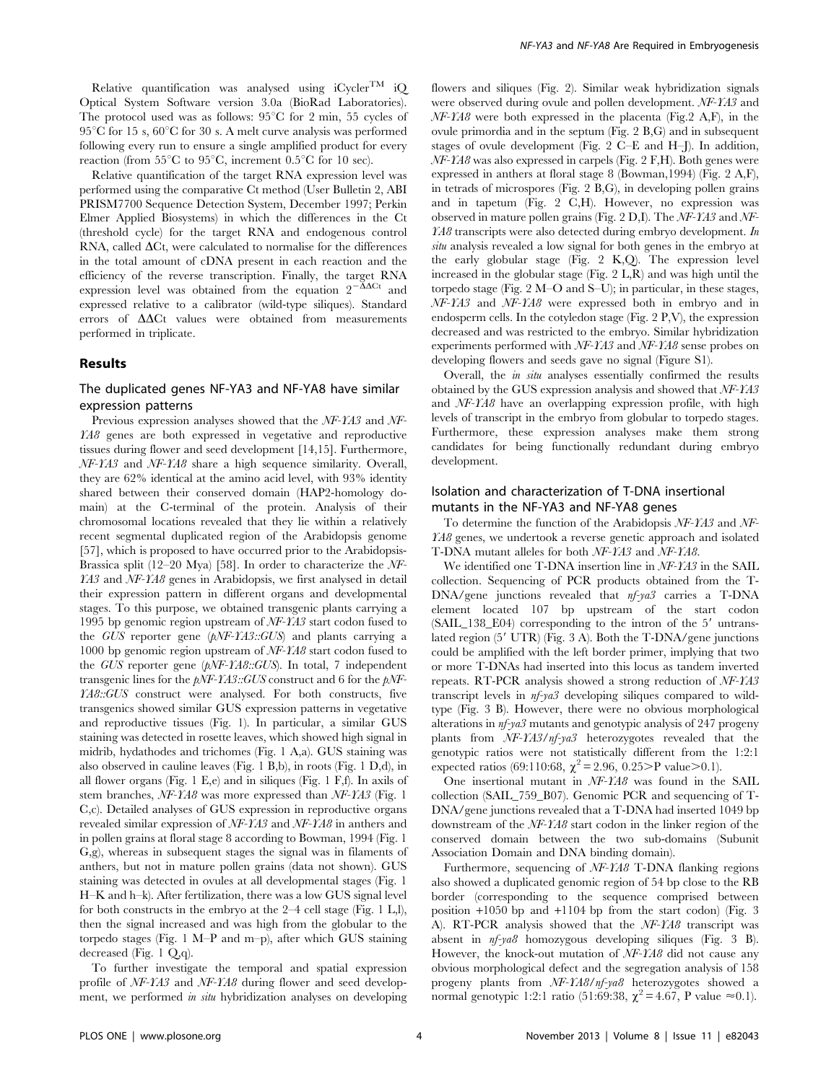Relative quantification was analysed using  $iC \text{vcler}^{\text{TM}}$  iO Optical System Software version 3.0a (BioRad Laboratories). The protocol used was as follows:  $95^{\circ}$ C for 2 min, 55 cycles of  $95^{\circ}$ C for 15 s,  $60^{\circ}$ C for 30 s. A melt curve analysis was performed following every run to ensure a single amplified product for every reaction (from 55 $\mathrm{^{\circ}C}$  to 95 $\mathrm{^{\circ}C}$ , increment 0.5 $\mathrm{^{\circ}C}$  for 10 sec).

Relative quantification of the target RNA expression level was performed using the comparative Ct method (User Bulletin 2, ABI PRISM7700 Sequence Detection System, December 1997; Perkin Elmer Applied Biosystems) in which the differences in the Ct (threshold cycle) for the target RNA and endogenous control RNA, called  $\Delta$ Ct, were calculated to normalise for the differences in the total amount of cDNA present in each reaction and the efficiency of the reverse transcription. Finally, the target RNA expression level was obtained from the equation  $2^{-\Delta\Delta Ct}$  and expressed relative to a calibrator (wild-type siliques). Standard errors of  $\Delta\Delta$ Ct values were obtained from measurements performed in triplicate.

#### Results

# The duplicated genes NF-YA3 and NF-YA8 have similar expression patterns

Previous expression analyses showed that the NF-YA3 and NF-YA8 genes are both expressed in vegetative and reproductive tissues during flower and seed development [14,15]. Furthermore, NF-YA3 and NF-YA8 share a high sequence similarity. Overall, they are 62% identical at the amino acid level, with 93% identity shared between their conserved domain (HAP2-homology domain) at the C-terminal of the protein. Analysis of their chromosomal locations revealed that they lie within a relatively recent segmental duplicated region of the Arabidopsis genome [57], which is proposed to have occurred prior to the Arabidopsis-Brassica split (12–20 Mya) [58]. In order to characterize the NF-YA3 and NF-YA8 genes in Arabidopsis, we first analysed in detail their expression pattern in different organs and developmental stages. To this purpose, we obtained transgenic plants carrying a 1995 bp genomic region upstream of NF-YA3 start codon fused to the GUS reporter gene (pNF-YA3::GUS) and plants carrying a 1000 bp genomic region upstream of NF-YA8 start codon fused to the GUS reporter gene (pNF-YA8::GUS). In total, 7 independent transgenic lines for the  $pNF-YAS::GUS$  construct and 6 for the  $pNF-$ YA8::GUS construct were analysed. For both constructs, five transgenics showed similar GUS expression patterns in vegetative and reproductive tissues (Fig. 1). In particular, a similar GUS staining was detected in rosette leaves, which showed high signal in midrib, hydathodes and trichomes (Fig. 1 A,a). GUS staining was also observed in cauline leaves (Fig. 1 B,b), in roots (Fig. 1 D,d), in all flower organs (Fig. 1 E,e) and in siliques (Fig. 1 F,f). In axils of stem branches, NF-YA8 was more expressed than NF-YA3 (Fig. 1 C,c). Detailed analyses of GUS expression in reproductive organs revealed similar expression of NF-YA3 and NF-YA8 in anthers and in pollen grains at floral stage 8 according to Bowman, 1994 (Fig. 1 G,g), whereas in subsequent stages the signal was in filaments of anthers, but not in mature pollen grains (data not shown). GUS staining was detected in ovules at all developmental stages (Fig. 1 H–K and h–k). After fertilization, there was a low GUS signal level for both constructs in the embryo at the 2–4 cell stage (Fig. 1 L,l), then the signal increased and was high from the globular to the torpedo stages (Fig. 1 M–P and m–p), after which GUS staining decreased (Fig. 1 Q,q).

To further investigate the temporal and spatial expression profile of NF-YA3 and NF-YA8 during flower and seed development, we performed in situ hybridization analyses on developing flowers and siliques (Fig. 2). Similar weak hybridization signals were observed during ovule and pollen development. NF-YA3 and  $NF$ -YA8 were both expressed in the placenta (Fig.2 A,F), in the ovule primordia and in the septum (Fig. 2 B,G) and in subsequent stages of ovule development (Fig. 2 C–E and H–J). In addition,  $NF$ -YA8 was also expressed in carpels (Fig. 2 F,H). Both genes were expressed in anthers at floral stage 8 (Bowman,1994) (Fig. 2 A,F), in tetrads of microspores (Fig. 2 B,G), in developing pollen grains and in tapetum (Fig. 2 C,H). However, no expression was observed in mature pollen grains (Fig. 2 D,I). The NF-YA3 and NF-YA8 transcripts were also detected during embryo development. In situ analysis revealed a low signal for both genes in the embryo at the early globular stage (Fig. 2 K,Q). The expression level increased in the globular stage (Fig. 2 L,R) and was high until the torpedo stage (Fig. 2 M–O and S–U); in particular, in these stages, NF-YA3 and NF-YA8 were expressed both in embryo and in endosperm cells. In the cotyledon stage (Fig. 2 P,V), the expression decreased and was restricted to the embryo. Similar hybridization experiments performed with NF-YA3 and NF-YA8 sense probes on developing flowers and seeds gave no signal (Figure S1).

Overall, the in situ analyses essentially confirmed the results obtained by the GUS expression analysis and showed that NF-YA3 and NF-YA8 have an overlapping expression profile, with high levels of transcript in the embryo from globular to torpedo stages. Furthermore, these expression analyses make them strong candidates for being functionally redundant during embryo development.

# Isolation and characterization of T-DNA insertional mutants in the NF-YA3 and NF-YA8 genes

To determine the function of the Arabidopsis NF-YA3 and NF-YA8 genes, we undertook a reverse genetic approach and isolated T-DNA mutant alleles for both NF-YA3 and NF-YA8.

We identified one T-DNA insertion line in NF-YA3 in the SAIL collection. Sequencing of PCR products obtained from the T-DNA/gene junctions revealed that nf-ya3 carries a T-DNA element located 107 bp upstream of the start codon  $(SAIL_138_E04)$  corresponding to the intron of the  $5'$  untranslated region  $(5' UTR)$  (Fig. 3 A). Both the T-DNA/gene junctions could be amplified with the left border primer, implying that two or more T-DNAs had inserted into this locus as tandem inverted repeats. RT-PCR analysis showed a strong reduction of NF-YA3 transcript levels in nf-ya3 developing siliques compared to wildtype (Fig. 3 B). However, there were no obvious morphological alterations in nf-ya3 mutants and genotypic analysis of 247 progeny plants from NF-YA3/nf-ya3 heterozygotes revealed that the genotypic ratios were not statistically different from the 1:2:1 expected ratios (69:110:68,  $\chi^2$  = 2.96, 0.25>P value>0.1).

One insertional mutant in NF-YA8 was found in the SAIL collection (SAIL\_759\_B07). Genomic PCR and sequencing of T-DNA/gene junctions revealed that a T-DNA had inserted 1049 bp downstream of the NF-YA8 start codon in the linker region of the conserved domain between the two sub-domains (Subunit Association Domain and DNA binding domain).

Furthermore, sequencing of NF-YA8 T-DNA flanking regions also showed a duplicated genomic region of 54 bp close to the RB border (corresponding to the sequence comprised between position +1050 bp and +1104 bp from the start codon) (Fig. 3 A). RT-PCR analysis showed that the NF-YA8 transcript was absent in nf-ya8 homozygous developing siliques (Fig. 3 B). However, the knock-out mutation of NF-YA8 did not cause any obvious morphological defect and the segregation analysis of 158 progeny plants from NF-YA8/nf-ya8 heterozygotes showed a normal genotypic 1:2:1 ratio (51:69:38,  $\chi^2$  = 4.67, P value ≈0.1).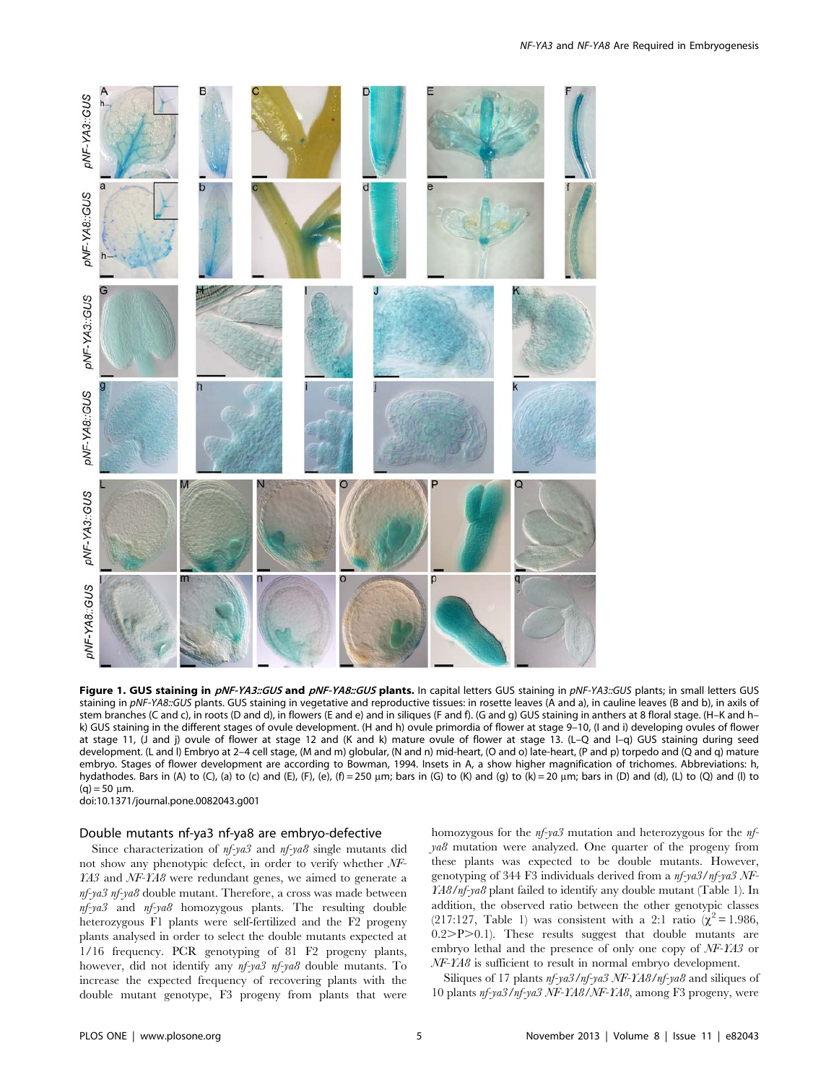

Figure 1. GUS staining in pNF-YA3::GUS and pNF-YA8::GUS plants. In capital letters GUS staining in pNF-YA3::GUS plants; in small letters GUS staining in pNF-YA8::GUS plants. GUS staining in vegetative and reproductive tissues: in rosette leaves (A and a), in cauline leaves (B and b), in axils of stem branches (C and c), in roots (D and d), in flowers (E and e) and in siliques (F and f). (G and g) GUS staining in anthers at 8 floral stage. (H–K and h– k) GUS staining in the different stages of ovule development. (H and h) ovule primordia of flower at stage 9–10, (I and i) developing ovules of flower at stage 11, (J and j) ovule of flower at stage 12 and (K and k) mature ovule of flower at stage 13. (L–Q and l–q) GUS staining during seed development. (L and l) Embryo at 2–4 cell stage, (M and m) globular, (N and n) mid-heart, (O and o) late-heart, (P and p) torpedo and (Q and q) mature embryo. Stages of flower development are according to Bowman, 1994. Insets in A, a show higher magnification of trichomes. Abbreviations: h, hydathodes. Bars in (A) to (C), (a) to (c) and (E), (F), (e), (f) = 250 µm; bars in (G) to (K) and (g) to (k) = 20 µm; bars in (D) and (d), (L) to (Q) and (l) to  $(a) = 50$  um.

doi:10.1371/journal.pone.0082043.g001

## Double mutants nf-ya3 nf-ya8 are embryo-defective

Since characterization of  $nf$ -ya3 and  $nf$ -ya8 single mutants did not show any phenotypic defect, in order to verify whether NF-YA3 and NF-YA8 were redundant genes, we aimed to generate a nf-ya3 nf-ya8 double mutant. Therefore, a cross was made between nf-ya3 and nf-ya8 homozygous plants. The resulting double heterozygous F1 plants were self-fertilized and the F2 progeny plants analysed in order to select the double mutants expected at 1/16 frequency. PCR genotyping of 81 F2 progeny plants, however, did not identify any  $nf$ -ya3 nf-ya8 double mutants. To increase the expected frequency of recovering plants with the double mutant genotype, F3 progeny from plants that were

homozygous for the  $nf$ -ya3 mutation and heterozygous for the  $nf$ - $\gamma a\beta$  mutation were analyzed. One quarter of the progeny from these plants was expected to be double mutants. However, genotyping of 344 F3 individuals derived from a nf-ya3/nf-ya3 NF-YA8/nf-ya8 plant failed to identify any double mutant (Table 1). In addition, the observed ratio between the other genotypic classes (217:127, Table 1) was consistent with a 2:1 ratio ( $\chi^2$  = 1.986,  $0.2$ >P> $0.1$ ). These results suggest that double mutants are embryo lethal and the presence of only one copy of NF-YA3 or NF-YA8 is sufficient to result in normal embryo development.

Siliques of 17 plants  $nf$ -ya3/nf-ya3 NF-YA8/nf-ya8 and siliques of 10 plants nf-ya3/nf-ya3 NF-YA8/NF-YA8, among F3 progeny, were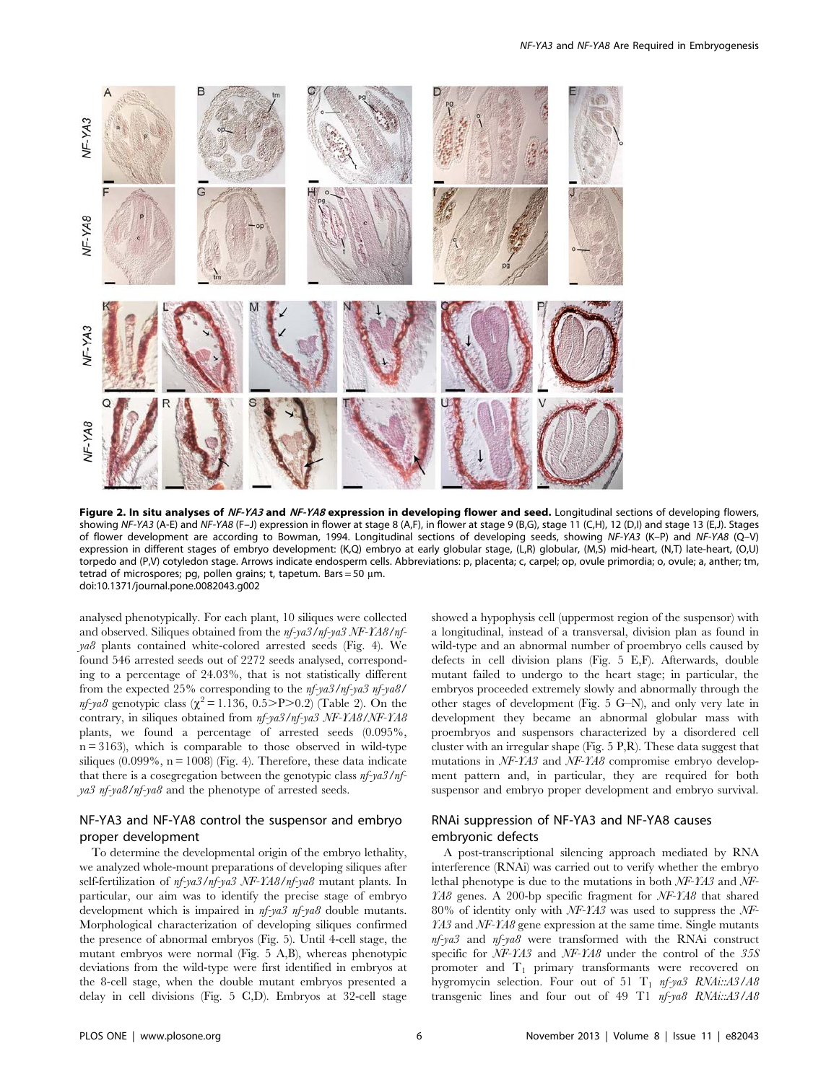

Figure 2. In situ analyses of NF-YA3 and NF-YA8 expression in developing flower and seed. Longitudinal sections of developing flowers, showing NF-YA3 (A-E) and NF-YA8 (F–J) expression in flower at stage 8 (A,F), in flower at stage 9 (B,G), stage 11 (C,H), 12 (D,I) and stage 13 (E,J). Stages of flower development are according to Bowman, 1994. Longitudinal sections of developing seeds, showing NF-YA3 (K–P) and NF-YA8 (Q–V) expression in different stages of embryo development: (K,Q) embryo at early globular stage, (L,R) globular, (M,S) mid-heart, (N,T) late-heart, (O,U) torpedo and (P,V) cotyledon stage. Arrows indicate endosperm cells. Abbreviations: p, placenta; c, carpel; op, ovule primordia; o, ovule; a, anther; tm, tetrad of microspores; pg, pollen grains; t, tapetum. Bars = 50  $\mu$ m. doi:10.1371/journal.pone.0082043.g002

analysed phenotypically. For each plant, 10 siliques were collected and observed. Siliques obtained from the nf-ya3/nf-ya3 NF-YA8/nfya8 plants contained white-colored arrested seeds (Fig. 4). We found 546 arrested seeds out of 2272 seeds analysed, corresponding to a percentage of 24.03%, that is not statistically different from the expected 25% corresponding to the nf-ya3/nf-ya3 nf-ya8/ *nf-ya8* genotypic class ( $\chi^2$  = 1.136, 0.5>P>0.2) (Table 2). On the contrary, in siliques obtained from nf-ya3/nf-ya3 NF-YA8/NF-YA8 plants, we found a percentage of arrested seeds (0.095%,  $n = 3163$ ), which is comparable to those observed in wild-type siliques  $(0.099\%, n = 1008)$  (Fig. 4). Therefore, these data indicate that there is a cosegregation between the genotypic class nf-ya3/nfya3 nf-ya8/nf-ya8 and the phenotype of arrested seeds.

# NF-YA3 and NF-YA8 control the suspensor and embryo proper development

To determine the developmental origin of the embryo lethality, we analyzed whole-mount preparations of developing siliques after self-fertilization of nf-ya3/nf-ya3 NF-YA8/nf-ya8 mutant plants. In particular, our aim was to identify the precise stage of embryo development which is impaired in nf-ya3 nf-ya8 double mutants. Morphological characterization of developing siliques confirmed the presence of abnormal embryos (Fig. 5). Until 4-cell stage, the mutant embryos were normal (Fig. 5 A,B), whereas phenotypic deviations from the wild-type were first identified in embryos at the 8-cell stage, when the double mutant embryos presented a delay in cell divisions (Fig. 5 C,D). Embryos at 32-cell stage showed a hypophysis cell (uppermost region of the suspensor) with a longitudinal, instead of a transversal, division plan as found in wild-type and an abnormal number of proembryo cells caused by defects in cell division plans (Fig. 5 E,F). Afterwards, double mutant failed to undergo to the heart stage; in particular, the embryos proceeded extremely slowly and abnormally through the other stages of development (Fig. 5 G–N), and only very late in development they became an abnormal globular mass with proembryos and suspensors characterized by a disordered cell cluster with an irregular shape (Fig. 5 P,R). These data suggest that mutations in NF-YA3 and NF-YA8 compromise embryo development pattern and, in particular, they are required for both suspensor and embryo proper development and embryo survival.

# RNAi suppression of NF-YA3 and NF-YA8 causes embryonic defects

A post-transcriptional silencing approach mediated by RNA interference (RNAi) was carried out to verify whether the embryo lethal phenotype is due to the mutations in both NF-YA3 and NF-YA8 genes. A 200-bp specific fragment for NF-YA8 that shared 80% of identity only with NF-YA3 was used to suppress the NF-YA3 and NF-YA8 gene expression at the same time. Single mutants nf-ya3 and nf-ya8 were transformed with the RNAi construct specific for NF-YA3 and NF-YA8 under the control of the 35S promoter and T<sub>1</sub> primary transformants were recovered on hygromycin selection. Four out of 51  $T_1$  nf-ya3 RNAi::A3/A8 transgenic lines and four out of 49 T1 nf-ya8 RNAi::A3/A8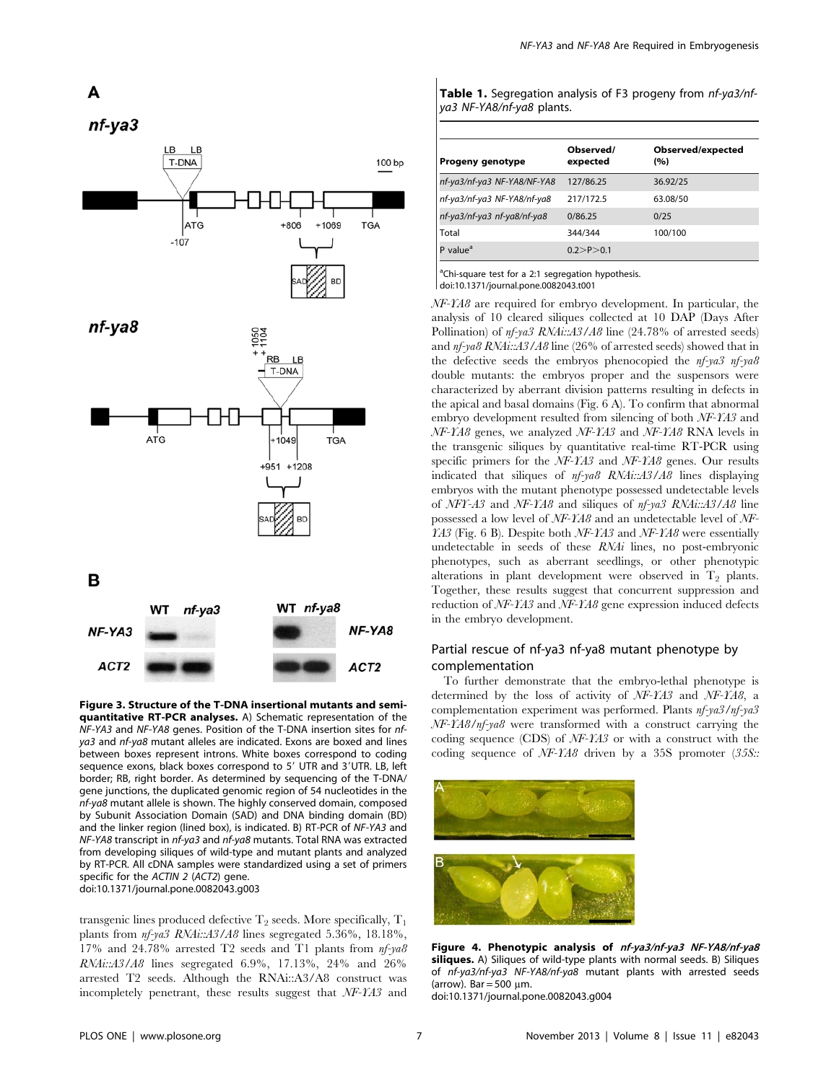

Figure 3. Structure of the T-DNA insertional mutants and semiquantitative RT-PCR analyses. A) Schematic representation of the NF-YA3 and NF-YA8 genes. Position of the T-DNA insertion sites for nfya3 and nf-ya8 mutant alleles are indicated. Exons are boxed and lines between boxes represent introns. White boxes correspond to coding sequence exons, black boxes correspond to 5' UTR and 3'UTR. LB, left border; RB, right border. As determined by sequencing of the T-DNA/ gene junctions, the duplicated genomic region of 54 nucleotides in the nf-ya8 mutant allele is shown. The highly conserved domain, composed by Subunit Association Domain (SAD) and DNA binding domain (BD) and the linker region (lined box), is indicated. B) RT-PCR of NF-YA3 and NF-YA8 transcript in nf-ya3 and nf-ya8 mutants. Total RNA was extracted from developing siliques of wild-type and mutant plants and analyzed by RT-PCR. All cDNA samples were standardized using a set of primers specific for the ACTIN 2 (ACT2) gene. doi:10.1371/journal.pone.0082043.g003

transgenic lines produced defective  $T_2$  seeds. More specifically,  $T_1$ plants from nf-ya3 RNAi::A3/A8 lines segregated 5.36%, 18.18%, 17% and 24.78% arrested T2 seeds and T1 plants from nf-ya8 RNAi::A3/A8 lines segregated 6.9%, 17.13%, 24% and 26% arrested T2 seeds. Although the RNAi::A3/A8 construct was incompletely penetrant, these results suggest that NF-YA3 and

| <b>Table 1.</b> Segregation analysis of F3 progeny from nf-ya3/nf- |  |  |
|--------------------------------------------------------------------|--|--|
| ya3 NF-YA8/nf-ya8 plants.                                          |  |  |

| Progeny genotype            | Observed/<br>expected | Observed/expected<br>(%) |
|-----------------------------|-----------------------|--------------------------|
| nf-ya3/nf-ya3 NF-YA8/NF-YA8 | 127/86.25             | 36.92/25                 |
| nf-ya3/nf-ya3 NF-YA8/nf-ya8 | 217/172.5             | 63.08/50                 |
| nf-ya3/nf-ya3 nf-ya8/nf-ya8 | 0/86.25               | 0/25                     |
| Total                       | 344/344               | 100/100                  |
| value <sup>a</sup>          | 0.2 > P > 0.1         |                          |

<sup>a</sup>Chi-square test for a 2:1 segregation hypothesis.

doi:10.1371/journal.pone.0082043.t001

 $\mathbf{I}$ 

NF-YA8 are required for embryo development. In particular, the analysis of 10 cleared siliques collected at 10 DAP (Days After Pollination) of  $nf$ -ya3 RNAi::A3/A8 line (24.78% of arrested seeds) and nf-ya8 RNAi::A3/A8 line (26% of arrested seeds) showed that in the defective seeds the embryos phenocopied the nf-ya3 nf-ya8 double mutants: the embryos proper and the suspensors were characterized by aberrant division patterns resulting in defects in the apical and basal domains (Fig. 6 A). To confirm that abnormal embryo development resulted from silencing of both NF-YA3 and NF-YA8 genes, we analyzed NF-YA3 and NF-YA8 RNA levels in the transgenic siliques by quantitative real-time RT-PCR using specific primers for the NF-YA3 and NF-YA8 genes. Our results indicated that siliques of nf-ya8 RNAi::A3/A8 lines displaying embryos with the mutant phenotype possessed undetectable levels of NFY-A3 and NF-YA8 and siliques of nf-ya3 RNAi::A3/A8 line possessed a low level of NF-YA8 and an undetectable level of NF- $YA3$  (Fig. 6 B). Despite both NF-YA3 and NF-YA8 were essentially undetectable in seeds of these RNAi lines, no post-embryonic phenotypes, such as aberrant seedlings, or other phenotypic alterations in plant development were observed in  $T_2$  plants. Together, these results suggest that concurrent suppression and reduction of NF-YA3 and NF-YA8 gene expression induced defects in the embryo development.

# Partial rescue of nf-ya3 nf-ya8 mutant phenotype by complementation

To further demonstrate that the embryo-lethal phenotype is determined by the loss of activity of NF-YA3 and NF-YA8, a complementation experiment was performed. Plants nf-ya3/nf-ya3 NF-YA8/nf-ya8 were transformed with a construct carrying the coding sequence (CDS) of NF-YA3 or with a construct with the coding sequence of NF-YA8 driven by a 35S promoter (35S::



Figure 4. Phenotypic analysis of nf-ya3/nf-ya3 NF-YA8/nf-ya8 siliques. A) Siliques of wild-type plants with normal seeds. B) Siliques of nf-ya3/nf-ya3 NF-YA8/nf-ya8 mutant plants with arrested seeds (arrow). Bar =  $500 \mu m$ .

doi:10.1371/journal.pone.0082043.g004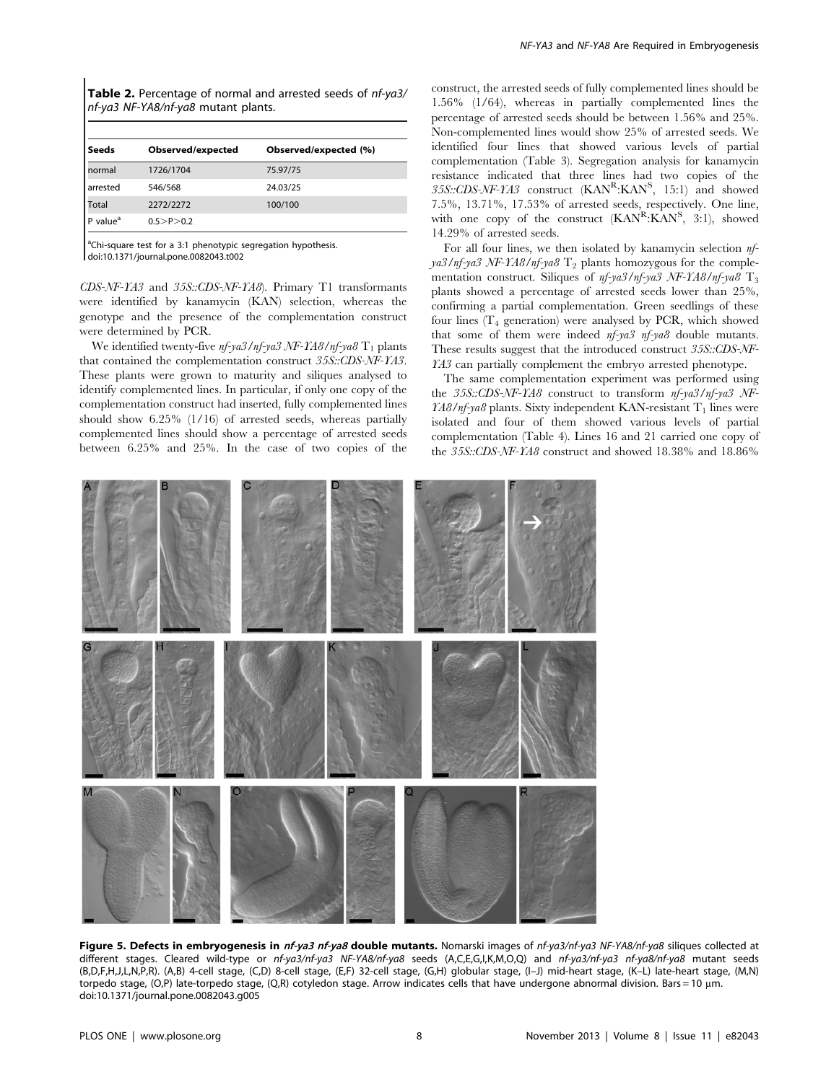Table 2. Percentage of normal and arrested seeds of nf-ya3/ nf-ya3 NF-YA8/nf-ya8 mutant plants.

| Seeds                | Observed/expected | Observed/expected (%) |
|----------------------|-------------------|-----------------------|
| normal               | 1726/1704         | 75.97/75              |
| arrested             | 546/568           | 24.03/25              |
| <b>Total</b>         | 2272/2272         | 100/100               |
| P value <sup>a</sup> | 0.5 > P > 0.2     |                       |

<sup>a</sup>Chi-square test for a 3:1 phenotypic segregation hypothesis. doi:10.1371/journal.pone.0082043.t002

CDS-NF-YA3 and 35S::CDS-NF-YA8). Primary T1 transformants were identified by kanamycin (KAN) selection, whereas the genotype and the presence of the complementation construct were determined by PCR.

We identified twenty-five  $n f$ -ya3/nf-ya3 NF-YA8/nf-ya8  $T_1$  plants that contained the complementation construct 35S::CDS-NF-YA3. These plants were grown to maturity and siliques analysed to identify complemented lines. In particular, if only one copy of the complementation construct had inserted, fully complemented lines should show 6.25% (1/16) of arrested seeds, whereas partially complemented lines should show a percentage of arrested seeds between 6.25% and 25%. In the case of two copies of the construct, the arrested seeds of fully complemented lines should be 1.56% (1/64), whereas in partially complemented lines the percentage of arrested seeds should be between 1.56% and 25%. Non-complemented lines would show 25% of arrested seeds. We identified four lines that showed various levels of partial complementation (Table 3). Segregation analysis for kanamycin resistance indicated that three lines had two copies of the 35S::CDS-NF-YA3 construct (KANR:KANS, 15:1) and showed 7.5%, 13.71%, 17.53% of arrested seeds, respectively. One line, with one copy of the construct (KAN<sup>R</sup>:KAN<sup>S</sup>, 3:1), showed 14.29% of arrested seeds.

For all four lines, we then isolated by kanamycin selection nf- $\gamma a3/nf-\gamma a3NF-Ma8/nf-\gamma a8$  T<sub>2</sub> plants homozygous for the complementation construct. Siliques of  $nf$ -ya3/nf-ya3 NF-YA8/nf-ya8  $T_3$ plants showed a percentage of arrested seeds lower than 25%, confirming a partial complementation. Green seedlings of these four lines  $(T_4$  generation) were analysed by PCR, which showed that some of them were indeed nf-ya3 nf-ya8 double mutants. These results suggest that the introduced construct 35S::CDS-NF-YA3 can partially complement the embryo arrested phenotype.

The same complementation experiment was performed using the 35S::CDS-NF-YA8 construct to transform nf-ya3/nf-ya3 NF- $\textit{YA8/nf-ya8}$  plants. Sixty independent KAN-resistant T<sub>1</sub> lines were isolated and four of them showed various levels of partial complementation (Table 4). Lines 16 and 21 carried one copy of the 35S::CDS-NF-YA8 construct and showed 18.38% and 18.86%



Figure 5. Defects in embryogenesis in nf-ya3 nf-ya8 double mutants. Nomarski images of nf-ya3/nf-ya3 NF-YA8/nf-ya8 siliques collected at different stages. Cleared wild-type or nf-ya3/nf-ya3 NF-YA8/nf-ya8 seeds (A,C,E,G,I,K,M,O,Q) and nf-ya3/nf-ya3 nf-ya8/nf-ya8 mutant seeds (B,D,F,H,J,L,N,P,R). (A,B) 4-cell stage, (C,D) 8-cell stage, (E,F) 32-cell stage, (G,H) globular stage, (I–J) mid-heart stage, (K–L) late-heart stage, (M,N) torpedo stage, (O,P) late-torpedo stage, (Q,R) cotyledon stage. Arrow indicates cells that have undergone abnormal division. Bars = 10 µm. doi:10.1371/journal.pone.0082043.g005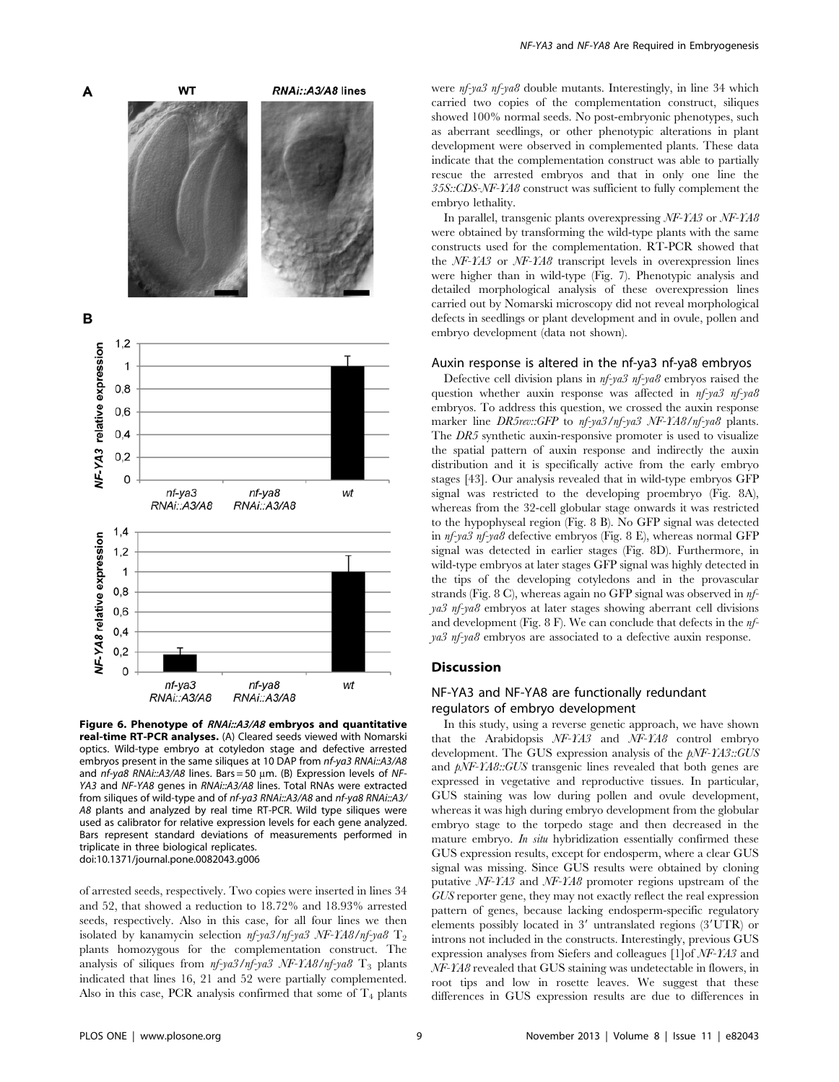

Figure 6. Phenotype of RNAi::A3/A8 embryos and quantitative real-time RT-PCR analyses. (A) Cleared seeds viewed with Nomarski optics. Wild-type embryo at cotyledon stage and defective arrested embryos present in the same siliques at 10 DAP from nf-ya3 RNAi::A3/A8 and  $nf$ -ya8 RNAi::A3/A8 lines. Bars = 50  $\mu$ m. (B) Expression levels of NF-YA3 and NF-YA8 genes in RNAi::A3/A8 lines. Total RNAs were extracted from siliques of wild-type and of nf-ya3 RNAi::A3/A8 and nf-ya8 RNAi::A3/ A8 plants and analyzed by real time RT-PCR. Wild type siliques were used as calibrator for relative expression levels for each gene analyzed. Bars represent standard deviations of measurements performed in triplicate in three biological replicates. doi:10.1371/journal.pone.0082043.g006

of arrested seeds, respectively. Two copies were inserted in lines 34 and 52, that showed a reduction to 18.72% and 18.93% arrested seeds, respectively. Also in this case, for all four lines we then isolated by kanamycin selection  $nf$ -ya3/nf-ya3 NF-YA8/nf-ya8 T<sub>2</sub> plants homozygous for the complementation construct. The analysis of siliques from  $nf$ -ya3/nf-ya3 NF-YA8/nf-ya8  $T_3$  plants indicated that lines 16, 21 and 52 were partially complemented. Also in this case, PCR analysis confirmed that some of  $T_4$  plants were nf-ya3 nf-ya8 double mutants. Interestingly, in line 34 which carried two copies of the complementation construct, siliques showed 100% normal seeds. No post-embryonic phenotypes, such as aberrant seedlings, or other phenotypic alterations in plant development were observed in complemented plants. These data indicate that the complementation construct was able to partially rescue the arrested embryos and that in only one line the 35S::CDS-NF-YA8 construct was sufficient to fully complement the embryo lethality.

In parallel, transgenic plants overexpressing NF-YA3 or NF-YA8 were obtained by transforming the wild-type plants with the same constructs used for the complementation. RT-PCR showed that the NF-YA3 or NF-YA8 transcript levels in overexpression lines were higher than in wild-type (Fig. 7). Phenotypic analysis and detailed morphological analysis of these overexpression lines carried out by Nomarski microscopy did not reveal morphological defects in seedlings or plant development and in ovule, pollen and embryo development (data not shown).

## Auxin response is altered in the nf-ya3 nf-ya8 embryos

Defective cell division plans in  $n f$ -ya3  $n f$ -ya8 embryos raised the question whether auxin response was affected in  $nf$ -ya3 nf-ya8 embryos. To address this question, we crossed the auxin response marker line DR5rev::GFP to nf-ya3/nf-ya3 NF-YA8/nf-ya8 plants. The DR5 synthetic auxin-responsive promoter is used to visualize the spatial pattern of auxin response and indirectly the auxin distribution and it is specifically active from the early embryo stages [43]. Our analysis revealed that in wild-type embryos GFP signal was restricted to the developing proembryo (Fig. 8A), whereas from the 32-cell globular stage onwards it was restricted to the hypophyseal region (Fig. 8 B). No GFP signal was detected in nf-ya3 nf-ya8 defective embryos (Fig. 8 E), whereas normal GFP signal was detected in earlier stages (Fig. 8D). Furthermore, in wild-type embryos at later stages GFP signal was highly detected in the tips of the developing cotyledons and in the provascular strands (Fig. 8 C), whereas again no GFP signal was observed in nfya3 nf-ya8 embryos at later stages showing aberrant cell divisions and development (Fig. 8 F). We can conclude that defects in the nfya3 nf-ya8 embryos are associated to a defective auxin response.

# **Discussion**

# NF-YA3 and NF-YA8 are functionally redundant regulators of embryo development

In this study, using a reverse genetic approach, we have shown that the Arabidopsis NF-YA3 and NF-YA8 control embryo development. The GUS expression analysis of the pNF-YA3::GUS and  $pNF-YAG::GUS$  transgenic lines revealed that both genes are expressed in vegetative and reproductive tissues. In particular, GUS staining was low during pollen and ovule development, whereas it was high during embryo development from the globular embryo stage to the torpedo stage and then decreased in the mature embryo. In situ hybridization essentially confirmed these GUS expression results, except for endosperm, where a clear GUS signal was missing. Since GUS results were obtained by cloning putative NF-YA3 and NF-YA8 promoter regions upstream of the GUS reporter gene, they may not exactly reflect the real expression pattern of genes, because lacking endosperm-specific regulatory elements possibly located in  $3'$  untranslated regions  $(3'UTR)$  or introns not included in the constructs. Interestingly, previous GUS expression analyses from Siefers and colleagues [1]of NF-YA3 and NF-YA8 revealed that GUS staining was undetectable in flowers, in root tips and low in rosette leaves. We suggest that these differences in GUS expression results are due to differences in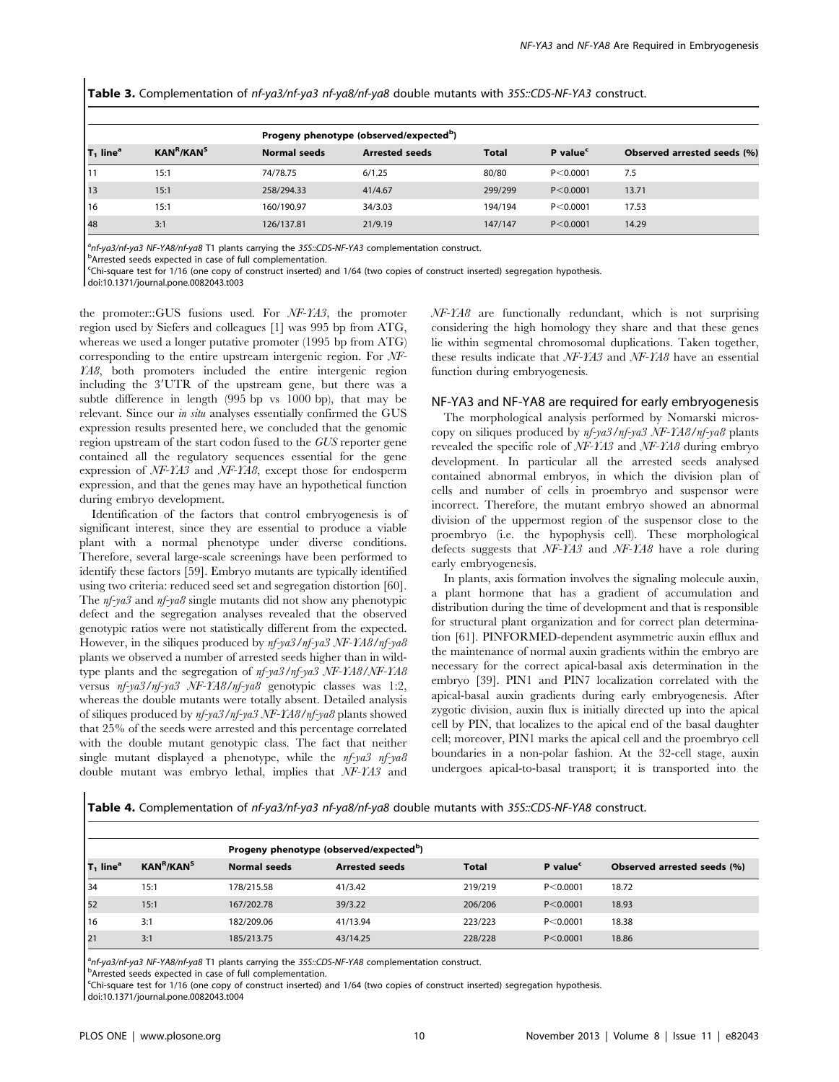|  |  |  | Table 3. Complementation of nf-ya3/nf-ya3 nf-ya8/nf-ya8 double mutants with 35S::CDS-NF-YA3 construct. |
|--|--|--|--------------------------------------------------------------------------------------------------------|
|--|--|--|--------------------------------------------------------------------------------------------------------|

| Progeny phenotype (observed/expected <sup>b</sup> ) |                                    |              |                       |              |                      |                             |
|-----------------------------------------------------|------------------------------------|--------------|-----------------------|--------------|----------------------|-----------------------------|
| $T_1$ line <sup>a</sup>                             | KAN <sup>R</sup> /KAN <sup>S</sup> | Normal seeds | <b>Arrested seeds</b> | <b>Total</b> | P value <sup>c</sup> | Observed arrested seeds (%) |
| l 11                                                | 15:1                               | 74/78.75     | 6/1.25                | 80/80        | P < 0.0001           | 7.5                         |
| 13                                                  | 15:1                               | 258/294.33   | 41/4.67               | 299/299      | P < 0.0001           | 13.71                       |
| l 16                                                | 15:1                               | 160/190.97   | 34/3.03               | 194/194      | P < 0.0001           | 17.53                       |
| 48                                                  | 3:1                                | 126/137.81   | 21/9.19               | 147/147      | P < 0.0001           | 14.29                       |

<sup>a</sup>nf-ya3/nf-ya3 NF-YA8/nf-ya8 T1 plants carrying the 35S::CDS-NF-YA3 complementation construct.<br><sup>b</sup>Arrosted coods expected in case of full complementation

**PArrested seeds expected in case of full complementation.** 

c Chi-square test for 1/16 (one copy of construct inserted) and 1/64 (two copies of construct inserted) segregation hypothesis.

doi:10.1371/journal.pone.0082043.t003

the promoter::GUS fusions used. For NF-YA3, the promoter region used by Siefers and colleagues [1] was 995 bp from ATG, whereas we used a longer putative promoter (1995 bp from ATG) corresponding to the entire upstream intergenic region. For NF-YA8, both promoters included the entire intergenic region including the 3'UTR of the upstream gene, but there was a subtle difference in length (995 bp vs 1000 bp), that may be relevant. Since our in situ analyses essentially confirmed the GUS expression results presented here, we concluded that the genomic region upstream of the start codon fused to the GUS reporter gene contained all the regulatory sequences essential for the gene expression of NF-YA3 and NF-YA8, except those for endosperm expression, and that the genes may have an hypothetical function during embryo development.

Identification of the factors that control embryogenesis is of significant interest, since they are essential to produce a viable plant with a normal phenotype under diverse conditions. Therefore, several large-scale screenings have been performed to identify these factors [59]. Embryo mutants are typically identified using two criteria: reduced seed set and segregation distortion [60]. The nf-ya3 and nf-ya8 single mutants did not show any phenotypic defect and the segregation analyses revealed that the observed genotypic ratios were not statistically different from the expected. However, in the siliques produced by nf-ya3/nf-ya3 NF-YA8/nf-ya8 plants we observed a number of arrested seeds higher than in wildtype plants and the segregation of nf-ya3/nf-ya3 NF-YA8/NF-YA8 versus nf-ya3/nf-ya3 NF-YA8/nf-ya8 genotypic classes was 1:2, whereas the double mutants were totally absent. Detailed analysis of siliques produced by nf-ya3/nf-ya3 NF-YA8/nf-ya8 plants showed that 25% of the seeds were arrested and this percentage correlated with the double mutant genotypic class. The fact that neither single mutant displayed a phenotype, while the  $nf$ -ya3  $nf$ -ya8 double mutant was embryo lethal, implies that NF-YA3 and

NF-YA8 are functionally redundant, which is not surprising considering the high homology they share and that these genes lie within segmental chromosomal duplications. Taken together, these results indicate that NF-YA3 and NF-YA8 have an essential function during embryogenesis.

# NF-YA3 and NF-YA8 are required for early embryogenesis

The morphological analysis performed by Nomarski microscopy on siliques produced by nf-ya3/nf-ya3 NF-YA8/nf-ya8 plants revealed the specific role of NF-YA3 and NF-YA8 during embryo development. In particular all the arrested seeds analysed contained abnormal embryos, in which the division plan of cells and number of cells in proembryo and suspensor were incorrect. Therefore, the mutant embryo showed an abnormal division of the uppermost region of the suspensor close to the proembryo (i.e. the hypophysis cell). These morphological defects suggests that NF-YA3 and NF-YA8 have a role during early embryogenesis.

In plants, axis formation involves the signaling molecule auxin, a plant hormone that has a gradient of accumulation and distribution during the time of development and that is responsible for structural plant organization and for correct plan determination [61]. PINFORMED-dependent asymmetric auxin efflux and the maintenance of normal auxin gradients within the embryo are necessary for the correct apical-basal axis determination in the embryo [39]. PIN1 and PIN7 localization correlated with the apical-basal auxin gradients during early embryogenesis. After zygotic division, auxin flux is initially directed up into the apical cell by PIN, that localizes to the apical end of the basal daughter cell; moreover, PIN1 marks the apical cell and the proembryo cell boundaries in a non-polar fashion. At the 32-cell stage, auxin undergoes apical-to-basal transport; it is transported into the

Table 4. Complementation of nf-ya3/nf-ya3 nf-ya8/nf-ya8 double mutants with 35S::CDS-NF-YA8 construct.

|                         |                                    |              | Progeny phenotype (observed/expected <sup>b</sup> ) |              |                      |                             |
|-------------------------|------------------------------------|--------------|-----------------------------------------------------|--------------|----------------------|-----------------------------|
| $T_1$ line <sup>a</sup> | KAN <sup>R</sup> /KAN <sup>S</sup> | Normal seeds | <b>Arrested seeds</b>                               | <b>Total</b> | P value <sup>c</sup> | Observed arrested seeds (%) |
| l 34                    | 15:1                               | 178/215.58   | 41/3.42                                             | 219/219      | P < 0.0001           | 18.72                       |
| 52                      | 15:1                               | 167/202.78   | 39/3.22                                             | 206/206      | P < 0.0001           | 18.93                       |
| l 16                    | 3:1                                | 182/209.06   | 41/13.94                                            | 223/223      | P < 0.0001           | 18.38                       |
| 121                     | 3:1                                | 185/213.75   | 43/14.25                                            | 228/228      | P < 0.0001           | 18.86                       |

<sup>a</sup>nf-ya3/nf-ya3 NF-YA8/nf-ya8 T1 plants carrying the 35S::CDS-NF-YA8 complementation construct.<br><sup>b</sup>Arrosted coods expected in case of full complementation

**b**Arrested seeds expected in case of full complementation.

c Chi-square test for 1/16 (one copy of construct inserted) and 1/64 (two copies of construct inserted) segregation hypothesis.

doi:10.1371/journal.pone.0082043.t004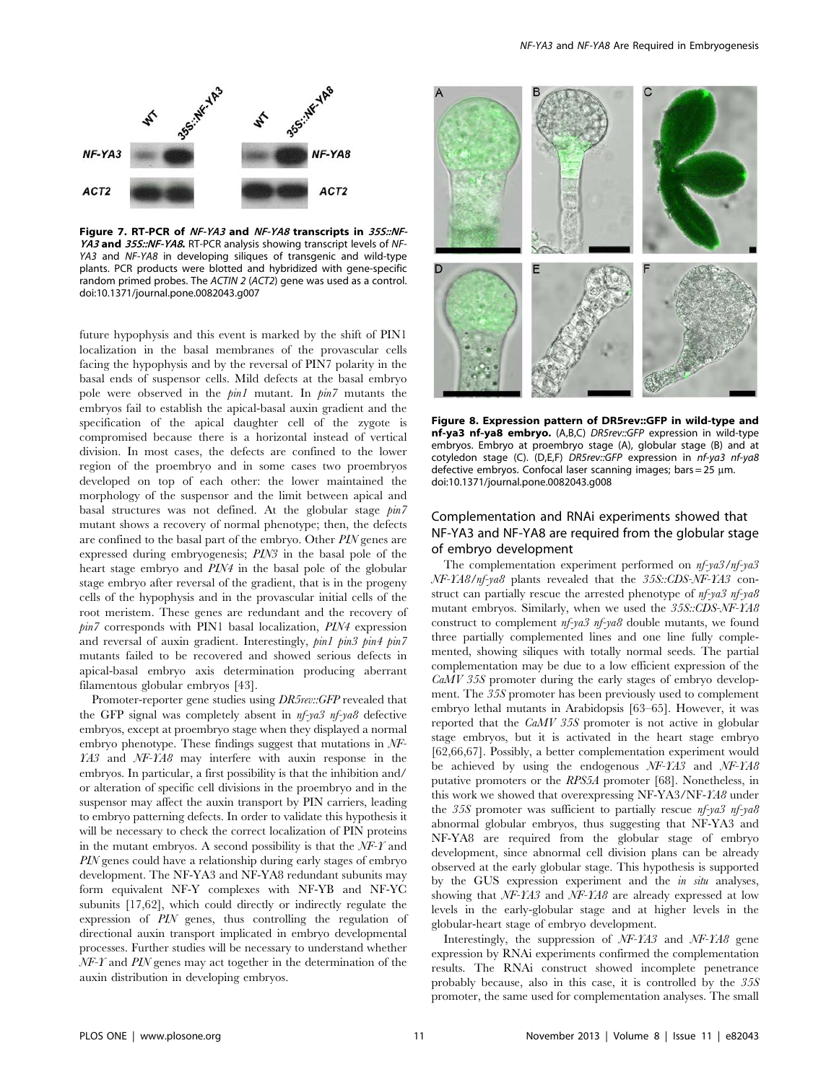

Figure 7. RT-PCR of NF-YA3 and NF-YA8 transcripts in 35S::NF-YA3 and 35S::NF-YA8. RT-PCR analysis showing transcript levels of NF-YA3 and NF-YA8 in developing siliques of transgenic and wild-type plants. PCR products were blotted and hybridized with gene-specific random primed probes. The ACTIN 2 (ACT2) gene was used as a control. doi:10.1371/journal.pone.0082043.g007

future hypophysis and this event is marked by the shift of PIN1 localization in the basal membranes of the provascular cells facing the hypophysis and by the reversal of PIN7 polarity in the basal ends of suspensor cells. Mild defects at the basal embryo pole were observed in the pin1 mutant. In pin7 mutants the embryos fail to establish the apical-basal auxin gradient and the specification of the apical daughter cell of the zygote is compromised because there is a horizontal instead of vertical division. In most cases, the defects are confined to the lower region of the proembryo and in some cases two proembryos developed on top of each other: the lower maintained the morphology of the suspensor and the limit between apical and basal structures was not defined. At the globular stage pin7 mutant shows a recovery of normal phenotype; then, the defects are confined to the basal part of the embryo. Other PIN genes are expressed during embryogenesis; PIN3 in the basal pole of the heart stage embryo and PIN4 in the basal pole of the globular stage embryo after reversal of the gradient, that is in the progeny cells of the hypophysis and in the provascular initial cells of the root meristem. These genes are redundant and the recovery of pin7 corresponds with PIN1 basal localization, PIN4 expression and reversal of auxin gradient. Interestingly, pin1 pin3 pin4 pin7 mutants failed to be recovered and showed serious defects in apical-basal embryo axis determination producing aberrant filamentous globular embryos [43].

Promoter-reporter gene studies using  $DR5rev::GFP$  revealed that the GFP signal was completely absent in nf-ya3 nf-ya8 defective embryos, except at proembryo stage when they displayed a normal embryo phenotype. These findings suggest that mutations in NF-YA3 and NF-YA8 may interfere with auxin response in the embryos. In particular, a first possibility is that the inhibition and/ or alteration of specific cell divisions in the proembryo and in the suspensor may affect the auxin transport by PIN carriers, leading to embryo patterning defects. In order to validate this hypothesis it will be necessary to check the correct localization of PIN proteins in the mutant embryos. A second possibility is that the  $NF-<sup>T</sup>$  and PIN genes could have a relationship during early stages of embryo development. The NF-YA3 and NF-YA8 redundant subunits may form equivalent NF-Y complexes with NF-YB and NF-YC subunits [17,62], which could directly or indirectly regulate the expression of PIN genes, thus controlling the regulation of directional auxin transport implicated in embryo developmental processes. Further studies will be necessary to understand whether  $NF-<sup>T</sup>$  and PIN genes may act together in the determination of the auxin distribution in developing embryos.



Figure 8. Expression pattern of DR5rev::GFP in wild-type and nf-ya3 nf-ya8 embryo. (A,B,C) DR5rev::GFP expression in wild-type embryos. Embryo at proembryo stage (A), globular stage (B) and at cotyledon stage (C). (D,E,F) DR5rev::GFP expression in nf-ya3 nf-ya8 defective embryos. Confocal laser scanning images; bars =  $25 \mu m$ . doi:10.1371/journal.pone.0082043.g008

# Complementation and RNAi experiments showed that NF-YA3 and NF-YA8 are required from the globular stage of embryo development

The complementation experiment performed on nf-ya3/nf-ya3 NF-YA8/nf-ya8 plants revealed that the 35S::CDS-NF-YA3 construct can partially rescue the arrested phenotype of nf-ya3 nf-ya8 mutant embryos. Similarly, when we used the 35S::CDS-NF-YA8 construct to complement nf-ya3 nf-ya8 double mutants, we found three partially complemented lines and one line fully complemented, showing siliques with totally normal seeds. The partial complementation may be due to a low efficient expression of the CaMV 35S promoter during the early stages of embryo development. The 35S promoter has been previously used to complement embryo lethal mutants in Arabidopsis [63–65]. However, it was reported that the CaMV 35S promoter is not active in globular stage embryos, but it is activated in the heart stage embryo [62,66,67]. Possibly, a better complementation experiment would be achieved by using the endogenous NF-YA3 and NF-YA8 putative promoters or the RPS5A promoter [68]. Nonetheless, in this work we showed that overexpressing NF-YA3/NF-YA8 under the 35S promoter was sufficient to partially rescue nf-ya3 nf-ya8 abnormal globular embryos, thus suggesting that NF-YA3 and NF-YA8 are required from the globular stage of embryo development, since abnormal cell division plans can be already observed at the early globular stage. This hypothesis is supported by the GUS expression experiment and the in situ analyses, showing that NF-YA3 and NF-YA8 are already expressed at low levels in the early-globular stage and at higher levels in the globular-heart stage of embryo development.

Interestingly, the suppression of NF-YA3 and NF-YA8 gene expression by RNAi experiments confirmed the complementation results. The RNAi construct showed incomplete penetrance probably because, also in this case, it is controlled by the 35S promoter, the same used for complementation analyses. The small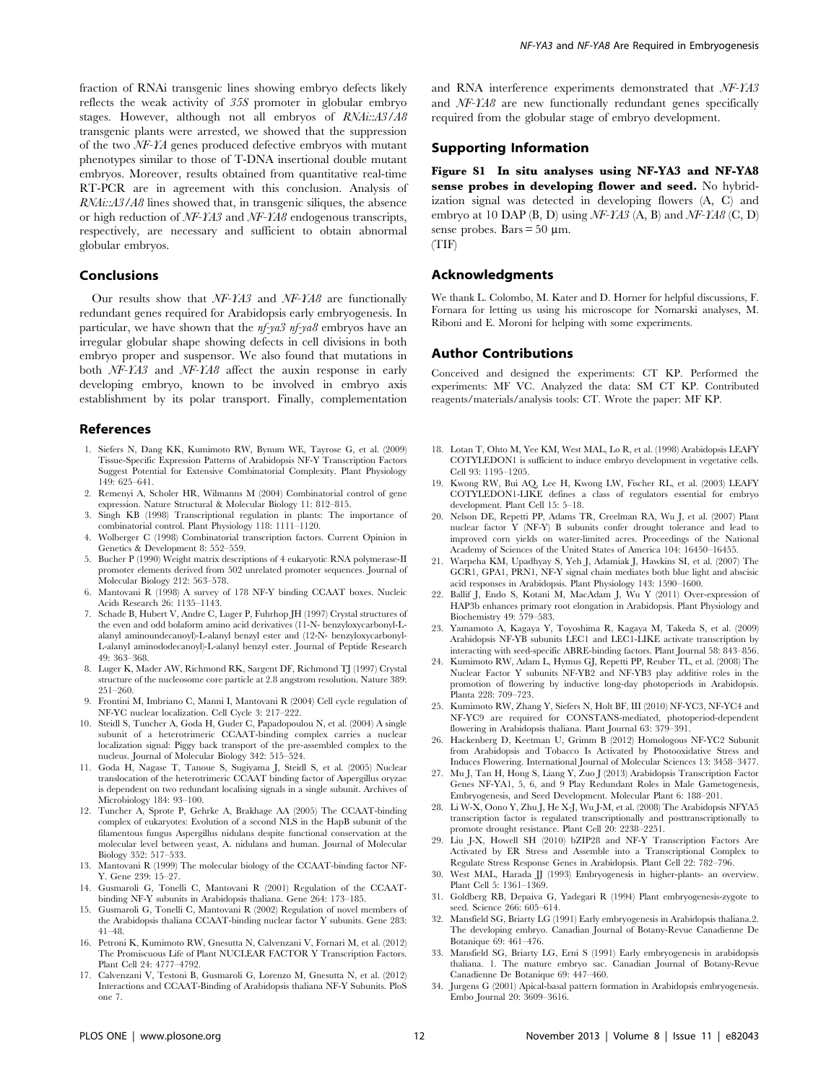fraction of RNAi transgenic lines showing embryo defects likely reflects the weak activity of 35S promoter in globular embryo stages. However, although not all embryos of RNAi::A3/A8 transgenic plants were arrested, we showed that the suppression of the two NF-YA genes produced defective embryos with mutant phenotypes similar to those of T-DNA insertional double mutant embryos. Moreover, results obtained from quantitative real-time RT-PCR are in agreement with this conclusion. Analysis of RNAi::A3/A8 lines showed that, in transgenic siliques, the absence or high reduction of NF-YA3 and NF-YA8 endogenous transcripts, respectively, are necessary and sufficient to obtain abnormal globular embryos.

## Conclusions

Our results show that  $NF-YA3$  and  $NF-YA8$  are functionally redundant genes required for Arabidopsis early embryogenesis. In particular, we have shown that the  $nf$ -ya3  $nf$ -ya8 embryos have an irregular globular shape showing defects in cell divisions in both embryo proper and suspensor. We also found that mutations in both NF-YA3 and NF-YA8 affect the auxin response in early developing embryo, known to be involved in embryo axis establishment by its polar transport. Finally, complementation

#### References

- 1. Siefers N, Dang KK, Kumimoto RW, Bynum WE, Tayrose G, et al. (2009) Tissue-Specific Expression Patterns of Arabidopsis NF-Y Transcription Factors Suggest Potential for Extensive Combinatorial Complexity. Plant Physiology 149: 625–641.
- 2. Remenyi A, Scholer HR, Wilmanns M (2004) Combinatorial control of gene expression. Nature Structural & Molecular Biology 11: 812–815.
- 3. Singh KB (1998) Transcriptional regulation in plants: The importance of combinatorial control. Plant Physiology 118: 1111–1120.
- 4. Wolberger C (1998) Combinatorial transcription factors. Current Opinion in Genetics & Development 8: 552–559.
- 5. Bucher P (1990) Weight matrix descriptions of 4 eukaryotic RNA polymerase-II promoter elements derived from 502 unrelated promoter sequences. Journal of Molecular Biology 212: 563–578.
- 6. Mantovani R (1998) A survey of 178 NF-Y binding CCAAT boxes. Nucleic Acids Research 26: 1135–1143.
- 7. Schade B, Hubert V, Andre C, Luger P, Fuhrhop JH (1997) Crystal structures of the even and odd bolaform amino acid derivatives (11-N- benzyloxycarbonyl-Lalanyl aminoundecanoyl)-L-alanyl benzyl ester and (12-N- benzyloxycarbonyl-L-alanyl aminododecanoyl)-L-alanyl benzyl ester. Journal of Peptide Research 49: 363–368.
- 8. Luger K, Mader AW, Richmond RK, Sargent DF, Richmond TJ (1997) Crystal structure of the nucleosome core particle at 2.8 angstrom resolution. Nature 389: 251–260.
- 9. Frontini M, Imbriano C, Manni I, Mantovani R (2004) Cell cycle regulation of NF-YC nuclear localization. Cell Cycle 3: 217–222.
- 10. Steidl S, Tuncher A, Goda H, Guder C, Papadopoulou N, et al. (2004) A single subunit of a heterotrimeric CCAAT-binding complex carries a nuclear localization signal: Piggy back transport of the pre-assembled complex to the nucleus. Journal of Molecular Biology 342: 515–524.
- 11. Goda H, Nagase T, Tanoue S, Sugiyama J, Steidl S, et al. (2005) Nuclear translocation of the heterotrimeric CCAAT binding factor of Aspergillus oryzae is dependent on two redundant localising signals in a single subunit. Archives of Microbiology 184: 93–100.
- 12. Tuncher A, Sprote P, Gehrke A, Brakhage AA (2005) The CCAAT-binding complex of eukaryotes: Evolution of a second NLS in the HapB subunit of the filamentous fungus Aspergillus nidulans despite functional conservation at the molecular level between yeast, A. nidulans and human. Journal of Molecular Biology 352: 517–533.
- 13. Mantovani R (1999) The molecular biology of the CCAAT-binding factor NF-Y. Gene 239: 15–27.
- 14. Gusmaroli G, Tonelli C, Mantovani R (2001) Regulation of the CCAATbinding NF-Y subunits in Arabidopsis thaliana. Gene 264: 173–185.
- 15. Gusmaroli G, Tonelli C, Mantovani R (2002) Regulation of novel members of the Arabidopsis thaliana CCAAT-binding nuclear factor Y subunits. Gene 283: 41–48.
- 16. Petroni K, Kumimoto RW, Gnesutta N, Calvenzani V, Fornari M, et al. (2012) The Promiscuous Life of Plant NUCLEAR FACTOR Y Transcription Factors. Plant Cell 24: 4777–4792.
- 17. Calvenzani V, Testoni B, Gusmaroli G, Lorenzo M, Gnesutta N, et al. (2012) Interactions and CCAAT-Binding of Arabidopsis thaliana NF-Y Subunits. PloS one 7.

and RNA interference experiments demonstrated that NF-YA3 and NF-YA8 are new functionally redundant genes specifically required from the globular stage of embryo development.

#### Supporting Information

Figure S1 In situ analyses using NF-YA3 and NF-YA8 sense probes in developing flower and seed. No hybridization signal was detected in developing flowers (A, C) and embryo at 10 DAP (B, D) using  $NF-YAS$  (A, B) and  $NF-YAS$  (C, D) sense probes. Bars  $= 50 \mu m$ . (TIF)

#### Acknowledgments

We thank L. Colombo, M. Kater and D. Horner for helpful discussions, F. Fornara for letting us using his microscope for Nomarski analyses, M. Riboni and E. Moroni for helping with some experiments.

#### Author Contributions

Conceived and designed the experiments: CT KP. Performed the experiments: MF VC. Analyzed the data: SM CT KP. Contributed reagents/materials/analysis tools: CT. Wrote the paper: MF KP.

- 18. Lotan T, Ohto M, Yee KM, West MAL, Lo R, et al. (1998) Arabidopsis LEAFY COTYLEDON1 is sufficient to induce embryo development in vegetative cells. Cell 93: 1195–1205.
- 19. Kwong RW, Bui AQ, Lee H, Kwong LW, Fischer RL, et al. (2003) LEAFY COTYLEDON1-LIKE defines a class of regulators essential for embryo development. Plant Cell 15: 5–18.
- 20. Nelson DE, Repetti PP, Adams TR, Creelman RA, Wu J, et al. (2007) Plant nuclear factor Y (NF-Y) B subunits confer drought tolerance and lead to improved corn yields on water-limited acres. Proceedings of the National Academy of Sciences of the United States of America 104: 16450–16455.
- 21. Warpeha KM, Upadhyay S, Yeh J, Adamiak J, Hawkins SI, et al. (2007) The GCR1, GPA1, PRN1, NF-Y signal chain mediates both blue light and abscisic acid responses in Arabidopsis. Plant Physiology 143: 1590–1600.
- 22. Ballif J, Endo S, Kotani M, MacAdam J, Wu Y (2011) Over-expression of HAP3b enhances primary root elongation in Arabidopsis. Plant Physiology and Biochemistry 49: 579–583.
- 23. Yamamoto A, Kagaya Y, Toyoshima R, Kagaya M, Takeda S, et al. (2009) Arabidopsis NF-YB subunits LEC1 and LEC1-LIKE activate transcription by interacting with seed-specific ABRE-binding factors. Plant Journal 58: 843–856.
- 24. Kumimoto RW, Adam L, Hymus GJ, Repetti PP, Reuber TL, et al. (2008) The Nuclear Factor Y subunits NF-YB2 and NF-YB3 play additive roles in the promotion of flowering by inductive long-day photoperiods in Arabidopsis. Planta 228: 709–723.
- 25. Kumimoto RW, Zhang Y, Siefers N, Holt BF, III (2010) NF-YC3, NF-YC4 and NF-YC9 are required for CONSTANS-mediated, photoperiod-dependent flowering in Arabidopsis thaliana. Plant Journal 63: 379–391.
- 26. Hackenberg D, Keetman U, Grimm B (2012) Homologous NF-YC2 Subunit from Arabidopsis and Tobacco Is Activated by Photooxidative Stress and Induces Flowering. International Journal of Molecular Sciences 13: 3458–3477.
- 27. Mu J, Tan H, Hong S, Liang Y, Zuo J (2013) Arabidopsis Transcription Factor Genes NF-YA1, 5, 6, and 9 Play Redundant Roles in Male Gametogenesis, Embryogenesis, and Seed Development. Molecular Plant 6: 188–201.
- 28. Li W-X, Oono Y, Zhu J, He X-J, Wu J-M, et al. (2008) The Arabidopsis NFYA5 transcription factor is regulated transcriptionally and posttranscriptionally to promote drought resistance. Plant Cell 20: 2238–2251.
- 29. Liu J-X, Howell SH (2010) bZIP28 and NF-Y Transcription Factors Are Activated by ER Stress and Assemble into a Transcriptional Complex to Regulate Stress Response Genes in Arabidopsis. Plant Cell 22: 782–796.
- 30. West MAL, Harada JJ (1993) Embryogenesis in higher-plants- an overview. Plant Cell 5: 1361–1369.
- 31. Goldberg RB, Depaiva G, Yadegari R (1994) Plant embryogenesis-zygote to seed. Science 266: 605–614.
- 32. Mansfield SG, Briarty LG (1991) Early embryogenesis in Arabidopsis thaliana.2. The developing embryo. Canadian Journal of Botany-Revue Canadienne De Botanique 69: 461–476.
- 33. Mansfield SG, Briarty LG, Erni S (1991) Early embryogenesis in arabidopsis thaliana. 1. The mature embryo sac. Canadian Journal of Botany-Revue Canadienne De Botanique 69: 447–460.
- 34. Jurgens G (2001) Apical-basal pattern formation in Arabidopsis embryogenesis. Embo Journal 20: 3609–3616.